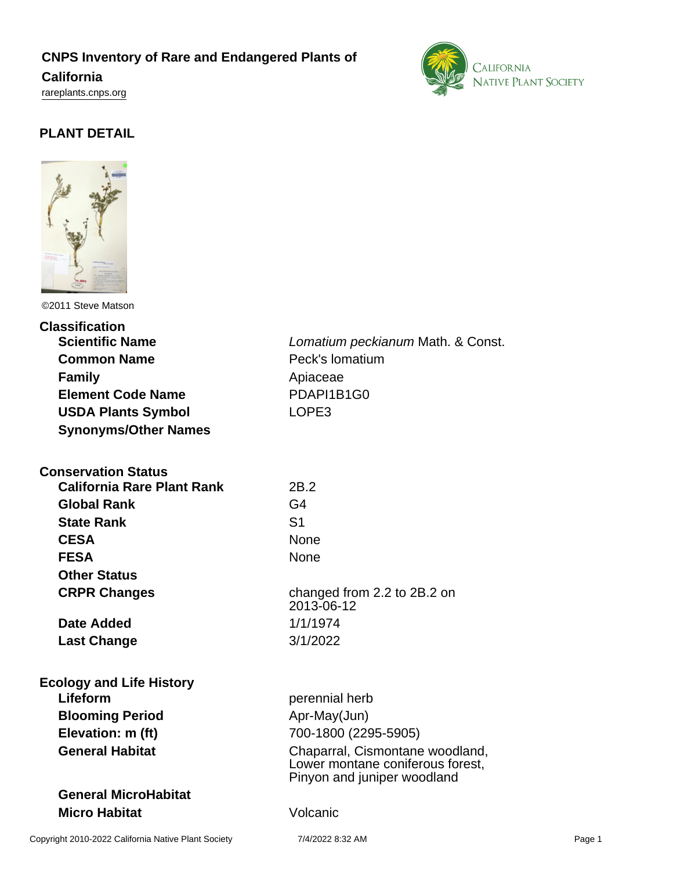## **CNPS Inventory of Rare and Endangered Plants of**

**California**

<rareplants.cnps.org>



# **PLANT DETAIL**



©2011 Steve Matson

#### **Classification**

| <b>Scientific Name</b>      |
|-----------------------------|
| <b>Common Name</b>          |
| <b>Family</b>               |
| <b>Element Code Name</b>    |
| <b>USDA Plants Symbol</b>   |
| <b>Synonyms/Other Names</b> |

## **Conservation Status**

| <b>California Rare Plant Rank</b> | 2B.2           |
|-----------------------------------|----------------|
| <b>Global Rank</b>                | G4             |
| <b>State Rank</b>                 | S <sub>1</sub> |
| <b>CESA</b>                       | None           |
| <b>FESA</b>                       | None           |
| <b>Other Status</b>               |                |
| <b>CRPR Changes</b>               | chang          |
|                                   | $2013-$        |

**Date Added** 1/1/1974 **Last Change** 3/1/2022

#### **Ecology and Life History Lifeform perennial herb**

**Blooming Period** Apr-May(Jun)

## **General MicroHabitat Micro Habitat** Volcanic

Lomatium peckianum Math. & Const. **Peck's lomatium** Apiaceae **Element Code Name** PDAPI1B1G0 LOPE3

**Rank** 2B.2 **CESA** None changed from 2.2 to 2B.2 on 2013-06-12

**Elevation: m (ft)** 700-1800 (2295-5905) General Habitat **Chaparral, Cismontane woodland**, Lower montane coniferous forest, Pinyon and juniper woodland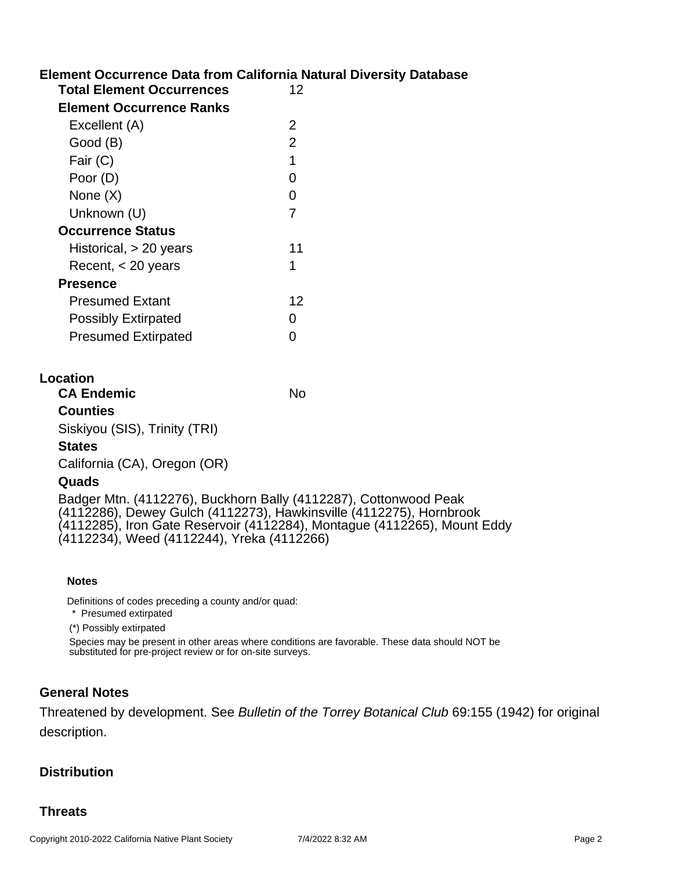## **Element Occurrence Data from California Natural Diversity Database**

| 12 |
|----|
|    |
| 2  |
| 2  |
| 1  |
| O  |
| O  |
| 7  |
|    |
| 11 |
| 1  |
|    |
| 12 |
| O  |
|    |
|    |

### **Location**

| <b>CA Endemic</b>             | No |
|-------------------------------|----|
| <b>Counties</b>               |    |
| Siskiyou (SIS), Trinity (TRI) |    |
| <b>States</b>                 |    |
| California (CA), Oregon (OR)  |    |
| Quads                         |    |
|                               |    |

Badger Mtn. (4112276), Buckhorn Bally (4112287), Cottonwood Peak (4112286), Dewey Gulch (4112273), Hawkinsville (4112275), Hornbrook (4112285), Iron Gate Reservoir (4112284), Montague (4112265), Mount Eddy (4112234), Weed (4112244), Yreka (4112266)

#### **Notes**

Definitions of codes preceding a county and/or quad:

\* Presumed extirpated

(\*) Possibly extirpated

Species may be present in other areas where conditions are favorable. These data should NOT be substituted for pre-project review or for on-site surveys.

#### **General Notes**

Threatened by development. See Bulletin of the Torrey Botanical Club 69:155 (1942) for original description.

#### **Distribution**

### **Threats**